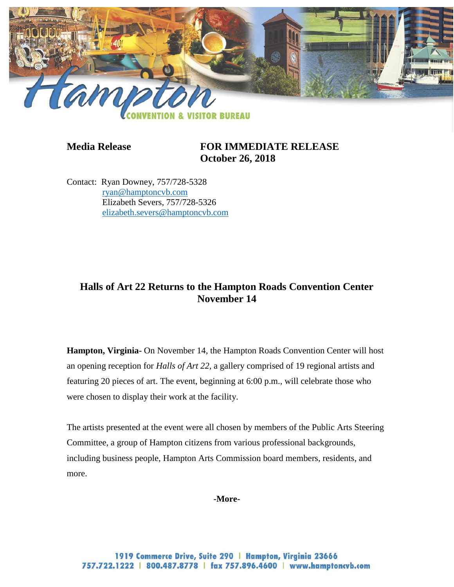

# **Media Release FOR IMMEDIATE RELEASE October 26, 2018**

Contact: Ryan Downey, 757/728-5328 [ryan@hamptoncvb.com](mailto:ryan@hamptoncvb.com) Elizabeth Severs, 757/728-5326 [elizabeth.severs@hamptoncvb.com](mailto:elizabeth.severs@hamptoncvb.com)

# **Halls of Art 22 Returns to the Hampton Roads Convention Center November 14**

**Hampton, Virginia-** On November 14, the Hampton Roads Convention Center will host an opening reception for *Halls of Art 22,* a gallery comprised of 19 regional artists and featuring 20 pieces of art. The event, beginning at 6:00 p.m., will celebrate those who were chosen to display their work at the facility.

The artists presented at the event were all chosen by members of the Public Arts Steering Committee, a group of Hampton citizens from various professional backgrounds, including business people, Hampton Arts Commission board members, residents, and more.

### **-More-**